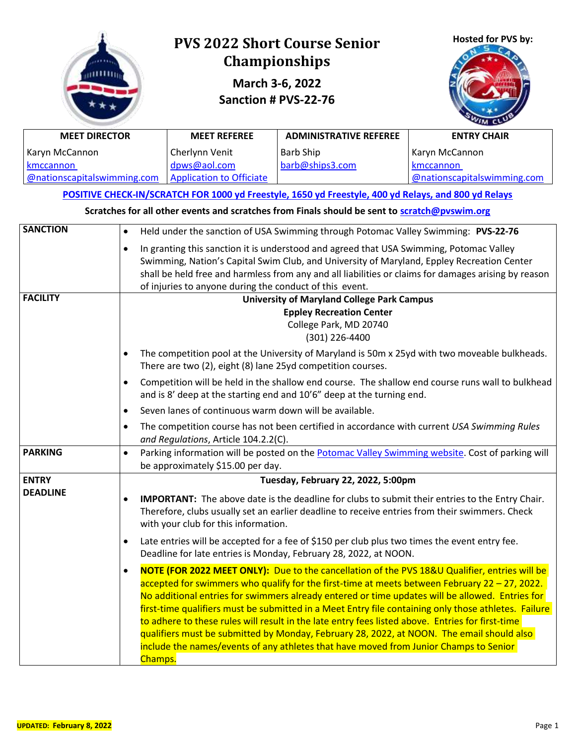| <b>MEET DIRECTOR</b><br>Karyn McCannon<br>kmccannon<br>@nationscapitalswimming.com |                        | <b>PVS 2022 Short Course Senior</b><br><b>Championships</b><br>March 3-6, 2022<br>Sanction # PVS-22-76<br><b>MEET REFEREE</b><br>Cherlynn Venit<br>dpws@aol.com<br><b>Application to Officiate</b>                                                                                                                                                                                                                                                                                                                                                                                                                                                                                                  | Hosted for PVS by:<br><b>ENTRY CHAIR</b><br>Karyn McCannon<br>kmccannon<br>@nationscapitalswimming.com                                                                                                                                                                                                                                                                       |                                                                                                      |  |  |
|------------------------------------------------------------------------------------|------------------------|-----------------------------------------------------------------------------------------------------------------------------------------------------------------------------------------------------------------------------------------------------------------------------------------------------------------------------------------------------------------------------------------------------------------------------------------------------------------------------------------------------------------------------------------------------------------------------------------------------------------------------------------------------------------------------------------------------|------------------------------------------------------------------------------------------------------------------------------------------------------------------------------------------------------------------------------------------------------------------------------------------------------------------------------------------------------------------------------|------------------------------------------------------------------------------------------------------|--|--|
|                                                                                    |                        |                                                                                                                                                                                                                                                                                                                                                                                                                                                                                                                                                                                                                                                                                                     | POSITIVE CHECK-IN/SCRATCH FOR 1000 yd Freestyle, 1650 yd Freestyle, 400 yd Relays, and 800 yd Relays                                                                                                                                                                                                                                                                         |                                                                                                      |  |  |
| <b>SANCTION</b>                                                                    | $\bullet$<br>$\bullet$ | of injuries to anyone during the conduct of this event.                                                                                                                                                                                                                                                                                                                                                                                                                                                                                                                                                                                                                                             | Scratches for all other events and scratches from Finals should be sent to scratch@pyswim.org<br>Held under the sanction of USA Swimming through Potomac Valley Swimming: PVS-22-76<br>In granting this sanction it is understood and agreed that USA Swimming, Potomac Valley<br>Swimming, Nation's Capital Swim Club, and University of Maryland, Eppley Recreation Center | shall be held free and harmless from any and all liabilities or claims for damages arising by reason |  |  |
| <b>FACILITY</b>                                                                    | $\bullet$              | <b>University of Maryland College Park Campus</b><br><b>Eppley Recreation Center</b><br>College Park, MD 20740<br>(301) 226-4400<br>The competition pool at the University of Maryland is 50m x 25yd with two moveable bulkheads.<br>There are two (2), eight (8) lane 25yd competition courses.<br>Competition will be held in the shallow end course. The shallow end course runs wall to bulkhead<br>and is 8' deep at the starting end and 10'6" deep at the turning end.                                                                                                                                                                                                                       |                                                                                                                                                                                                                                                                                                                                                                              |                                                                                                      |  |  |
|                                                                                    | $\bullet$<br>$\bullet$ | Seven lanes of continuous warm down will be available.<br>The competition course has not been certified in accordance with current USA Swimming Rules<br>and Regulations, Article 104.2.2(C).                                                                                                                                                                                                                                                                                                                                                                                                                                                                                                       |                                                                                                                                                                                                                                                                                                                                                                              |                                                                                                      |  |  |
| <b>PARKING</b>                                                                     |                        | Parking information will be posted on the Potomac Valley Swimming website. Cost of parking will<br>be approximately \$15.00 per day.                                                                                                                                                                                                                                                                                                                                                                                                                                                                                                                                                                |                                                                                                                                                                                                                                                                                                                                                                              |                                                                                                      |  |  |
| <b>ENTRY</b><br><b>DEADLINE</b>                                                    | $\bullet$              | Tuesday, February 22, 2022, 5:00pm<br><b>IMPORTANT:</b> The above date is the deadline for clubs to submit their entries to the Entry Chair.<br>Therefore, clubs usually set an earlier deadline to receive entries from their swimmers. Check<br>with your club for this information.<br>Late entries will be accepted for a fee of \$150 per club plus two times the event entry fee.<br>Deadline for late entries is Monday, February 28, 2022, at NOON.                                                                                                                                                                                                                                         |                                                                                                                                                                                                                                                                                                                                                                              |                                                                                                      |  |  |
|                                                                                    | $\bullet$<br>Champs.   | NOTE (FOR 2022 MEET ONLY): Due to the cancellation of the PVS 18&U Qualifier, entries will be<br>accepted for swimmers who qualify for the first-time at meets between February 22 – 27, 2022.<br>No additional entries for swimmers already entered or time updates will be allowed. Entries for<br>first-time qualifiers must be submitted in a Meet Entry file containing only those athletes. Failure<br>to adhere to these rules will result in the late entry fees listed above. Entries for first-time<br>qualifiers must be submitted by Monday, February 28, 2022, at NOON. The email should also<br>include the names/events of any athletes that have moved from Junior Champs to Senior |                                                                                                                                                                                                                                                                                                                                                                              |                                                                                                      |  |  |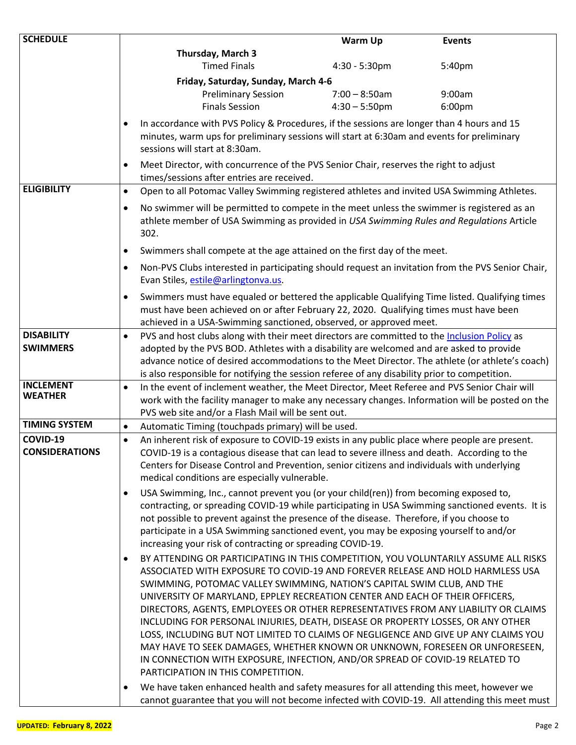| <b>SCHEDULE</b>       |           |                                                                                                                                                                                                                                                                                                                                                                                                                                                                   | Warm Up                                                                                                                                                                                  | <b>Events</b> |  |  |  |  |  |
|-----------------------|-----------|-------------------------------------------------------------------------------------------------------------------------------------------------------------------------------------------------------------------------------------------------------------------------------------------------------------------------------------------------------------------------------------------------------------------------------------------------------------------|------------------------------------------------------------------------------------------------------------------------------------------------------------------------------------------|---------------|--|--|--|--|--|
|                       |           | Thursday, March 3                                                                                                                                                                                                                                                                                                                                                                                                                                                 |                                                                                                                                                                                          |               |  |  |  |  |  |
|                       |           | <b>Timed Finals</b>                                                                                                                                                                                                                                                                                                                                                                                                                                               | $4:30 - 5:30$ pm                                                                                                                                                                         | 5:40pm        |  |  |  |  |  |
|                       |           | Friday, Saturday, Sunday, March 4-6                                                                                                                                                                                                                                                                                                                                                                                                                               |                                                                                                                                                                                          |               |  |  |  |  |  |
|                       |           | <b>Preliminary Session</b>                                                                                                                                                                                                                                                                                                                                                                                                                                        | $7:00 - 8:50$ am                                                                                                                                                                         | 9:00am        |  |  |  |  |  |
|                       |           | <b>Finals Session</b>                                                                                                                                                                                                                                                                                                                                                                                                                                             | $4:30 - 5:50$ pm                                                                                                                                                                         | 6:00pm        |  |  |  |  |  |
|                       | ٠         | sessions will start at 8:30am.                                                                                                                                                                                                                                                                                                                                                                                                                                    | In accordance with PVS Policy & Procedures, if the sessions are longer than 4 hours and 15<br>minutes, warm ups for preliminary sessions will start at 6:30am and events for preliminary |               |  |  |  |  |  |
|                       | $\bullet$ | Meet Director, with concurrence of the PVS Senior Chair, reserves the right to adjust<br>times/sessions after entries are received.                                                                                                                                                                                                                                                                                                                               |                                                                                                                                                                                          |               |  |  |  |  |  |
| <b>ELIGIBILITY</b>    | $\bullet$ | Open to all Potomac Valley Swimming registered athletes and invited USA Swimming Athletes.                                                                                                                                                                                                                                                                                                                                                                        |                                                                                                                                                                                          |               |  |  |  |  |  |
|                       | $\bullet$ | No swimmer will be permitted to compete in the meet unless the swimmer is registered as an<br>athlete member of USA Swimming as provided in USA Swimming Rules and Regulations Article<br>302.                                                                                                                                                                                                                                                                    |                                                                                                                                                                                          |               |  |  |  |  |  |
|                       | $\bullet$ | Swimmers shall compete at the age attained on the first day of the meet.                                                                                                                                                                                                                                                                                                                                                                                          |                                                                                                                                                                                          |               |  |  |  |  |  |
|                       |           | Non-PVS Clubs interested in participating should request an invitation from the PVS Senior Chair,                                                                                                                                                                                                                                                                                                                                                                 |                                                                                                                                                                                          |               |  |  |  |  |  |
|                       |           | Evan Stiles, estile@arlingtonva.us.                                                                                                                                                                                                                                                                                                                                                                                                                               |                                                                                                                                                                                          |               |  |  |  |  |  |
|                       | $\bullet$ | Swimmers must have equaled or bettered the applicable Qualifying Time listed. Qualifying times<br>must have been achieved on or after February 22, 2020. Qualifying times must have been                                                                                                                                                                                                                                                                          |                                                                                                                                                                                          |               |  |  |  |  |  |
|                       |           | achieved in a USA-Swimming sanctioned, observed, or approved meet.                                                                                                                                                                                                                                                                                                                                                                                                |                                                                                                                                                                                          |               |  |  |  |  |  |
| <b>DISABILITY</b>     | $\bullet$ | PVS and host clubs along with their meet directors are committed to the Inclusion Policy as                                                                                                                                                                                                                                                                                                                                                                       |                                                                                                                                                                                          |               |  |  |  |  |  |
| <b>SWIMMERS</b>       |           | adopted by the PVS BOD. Athletes with a disability are welcomed and are asked to provide<br>advance notice of desired accommodations to the Meet Director. The athlete (or athlete's coach)                                                                                                                                                                                                                                                                       |                                                                                                                                                                                          |               |  |  |  |  |  |
| <b>INCLEMENT</b>      |           | is also responsible for notifying the session referee of any disability prior to competition.                                                                                                                                                                                                                                                                                                                                                                     |                                                                                                                                                                                          |               |  |  |  |  |  |
| <b>WEATHER</b>        | $\bullet$ | In the event of inclement weather, the Meet Director, Meet Referee and PVS Senior Chair will<br>work with the facility manager to make any necessary changes. Information will be posted on the<br>PVS web site and/or a Flash Mail will be sent out.                                                                                                                                                                                                             |                                                                                                                                                                                          |               |  |  |  |  |  |
| <b>TIMING SYSTEM</b>  | $\bullet$ | Automatic Timing (touchpads primary) will be used.                                                                                                                                                                                                                                                                                                                                                                                                                |                                                                                                                                                                                          |               |  |  |  |  |  |
| COVID-19              | $\bullet$ | An inherent risk of exposure to COVID-19 exists in any public place where people are present.                                                                                                                                                                                                                                                                                                                                                                     |                                                                                                                                                                                          |               |  |  |  |  |  |
| <b>CONSIDERATIONS</b> |           | COVID-19 is a contagious disease that can lead to severe illness and death. According to the<br>Centers for Disease Control and Prevention, senior citizens and individuals with underlying<br>medical conditions are especially vulnerable.                                                                                                                                                                                                                      |                                                                                                                                                                                          |               |  |  |  |  |  |
|                       |           | USA Swimming, Inc., cannot prevent you (or your child(ren)) from becoming exposed to,                                                                                                                                                                                                                                                                                                                                                                             |                                                                                                                                                                                          |               |  |  |  |  |  |
|                       | ٠         | contracting, or spreading COVID-19 while participating in USA Swimming sanctioned events. It is                                                                                                                                                                                                                                                                                                                                                                   |                                                                                                                                                                                          |               |  |  |  |  |  |
|                       |           | not possible to prevent against the presence of the disease. Therefore, if you choose to<br>participate in a USA Swimming sanctioned event, you may be exposing yourself to and/or<br>increasing your risk of contracting or spreading COVID-19.                                                                                                                                                                                                                  |                                                                                                                                                                                          |               |  |  |  |  |  |
|                       | ٠         | BY ATTENDING OR PARTICIPATING IN THIS COMPETITION, YOU VOLUNTARILY ASSUME ALL RISKS<br>ASSOCIATED WITH EXPOSURE TO COVID-19 AND FOREVER RELEASE AND HOLD HARMLESS USA<br>SWIMMING, POTOMAC VALLEY SWIMMING, NATION'S CAPITAL SWIM CLUB, AND THE<br>UNIVERSITY OF MARYLAND, EPPLEY RECREATION CENTER AND EACH OF THEIR OFFICERS,                                                                                                                                   |                                                                                                                                                                                          |               |  |  |  |  |  |
|                       |           | DIRECTORS, AGENTS, EMPLOYEES OR OTHER REPRESENTATIVES FROM ANY LIABILITY OR CLAIMS<br>INCLUDING FOR PERSONAL INJURIES, DEATH, DISEASE OR PROPERTY LOSSES, OR ANY OTHER<br>LOSS, INCLUDING BUT NOT LIMITED TO CLAIMS OF NEGLIGENCE AND GIVE UP ANY CLAIMS YOU<br>MAY HAVE TO SEEK DAMAGES, WHETHER KNOWN OR UNKNOWN, FORESEEN OR UNFORESEEN,<br>IN CONNECTION WITH EXPOSURE, INFECTION, AND/OR SPREAD OF COVID-19 RELATED TO<br>PARTICIPATION IN THIS COMPETITION. |                                                                                                                                                                                          |               |  |  |  |  |  |
|                       | ٠         | We have taken enhanced health and safety measures for all attending this meet, however we<br>cannot guarantee that you will not become infected with COVID-19. All attending this meet must                                                                                                                                                                                                                                                                       |                                                                                                                                                                                          |               |  |  |  |  |  |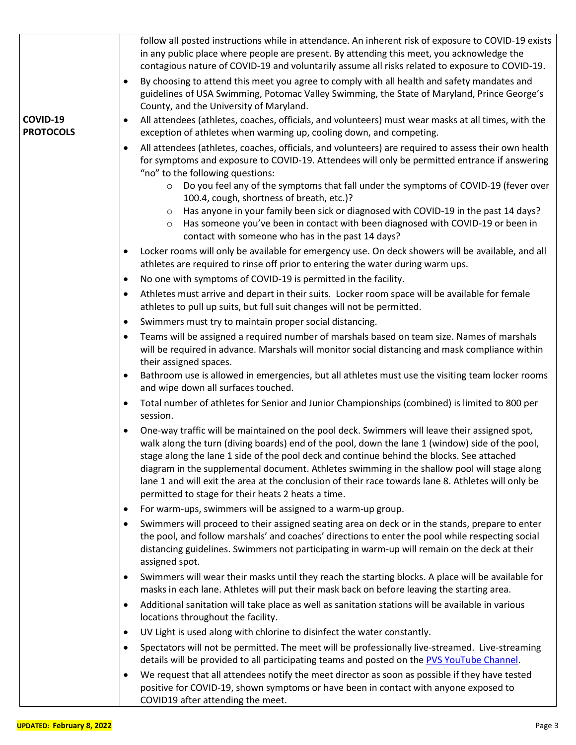|                              | follow all posted instructions while in attendance. An inherent risk of exposure to COVID-19 exists                                                                                                                                                                                                                                                                                                                                                                                                                                                        |
|------------------------------|------------------------------------------------------------------------------------------------------------------------------------------------------------------------------------------------------------------------------------------------------------------------------------------------------------------------------------------------------------------------------------------------------------------------------------------------------------------------------------------------------------------------------------------------------------|
|                              | in any public place where people are present. By attending this meet, you acknowledge the<br>contagious nature of COVID-19 and voluntarily assume all risks related to exposure to COVID-19.                                                                                                                                                                                                                                                                                                                                                               |
|                              | By choosing to attend this meet you agree to comply with all health and safety mandates and<br>٠                                                                                                                                                                                                                                                                                                                                                                                                                                                           |
|                              | guidelines of USA Swimming, Potomac Valley Swimming, the State of Maryland, Prince George's                                                                                                                                                                                                                                                                                                                                                                                                                                                                |
|                              | County, and the University of Maryland.                                                                                                                                                                                                                                                                                                                                                                                                                                                                                                                    |
| COVID-19<br><b>PROTOCOLS</b> | All attendees (athletes, coaches, officials, and volunteers) must wear masks at all times, with the<br>٠<br>exception of athletes when warming up, cooling down, and competing.                                                                                                                                                                                                                                                                                                                                                                            |
|                              | All attendees (athletes, coaches, officials, and volunteers) are required to assess their own health<br>for symptoms and exposure to COVID-19. Attendees will only be permitted entrance if answering<br>"no" to the following questions:                                                                                                                                                                                                                                                                                                                  |
|                              | Do you feel any of the symptoms that fall under the symptoms of COVID-19 (fever over<br>$\circ$<br>100.4, cough, shortness of breath, etc.)?                                                                                                                                                                                                                                                                                                                                                                                                               |
|                              | Has anyone in your family been sick or diagnosed with COVID-19 in the past 14 days?<br>$\circ$<br>Has someone you've been in contact with been diagnosed with COVID-19 or been in<br>$\circ$<br>contact with someone who has in the past 14 days?                                                                                                                                                                                                                                                                                                          |
|                              | Locker rooms will only be available for emergency use. On deck showers will be available, and all<br>٠<br>athletes are required to rinse off prior to entering the water during warm ups.                                                                                                                                                                                                                                                                                                                                                                  |
|                              | No one with symptoms of COVID-19 is permitted in the facility.<br>٠                                                                                                                                                                                                                                                                                                                                                                                                                                                                                        |
|                              | Athletes must arrive and depart in their suits. Locker room space will be available for female<br>٠<br>athletes to pull up suits, but full suit changes will not be permitted.                                                                                                                                                                                                                                                                                                                                                                             |
|                              | Swimmers must try to maintain proper social distancing.<br>٠                                                                                                                                                                                                                                                                                                                                                                                                                                                                                               |
|                              | Teams will be assigned a required number of marshals based on team size. Names of marshals<br>will be required in advance. Marshals will monitor social distancing and mask compliance within<br>their assigned spaces.                                                                                                                                                                                                                                                                                                                                    |
|                              | Bathroom use is allowed in emergencies, but all athletes must use the visiting team locker rooms<br>٠<br>and wipe down all surfaces touched.                                                                                                                                                                                                                                                                                                                                                                                                               |
|                              | Total number of athletes for Senior and Junior Championships (combined) is limited to 800 per<br>session.                                                                                                                                                                                                                                                                                                                                                                                                                                                  |
|                              | One-way traffic will be maintained on the pool deck. Swimmers will leave their assigned spot,<br>walk along the turn (diving boards) end of the pool, down the lane 1 (window) side of the pool,<br>stage along the lane 1 side of the pool deck and continue behind the blocks. See attached<br>diagram in the supplemental document. Athletes swimming in the shallow pool will stage along<br>lane 1 and will exit the area at the conclusion of their race towards lane 8. Athletes will only be<br>permitted to stage for their heats 2 heats a time. |
|                              | For warm-ups, swimmers will be assigned to a warm-up group.                                                                                                                                                                                                                                                                                                                                                                                                                                                                                                |
|                              | Swimmers will proceed to their assigned seating area on deck or in the stands, prepare to enter<br>the pool, and follow marshals' and coaches' directions to enter the pool while respecting social<br>distancing guidelines. Swimmers not participating in warm-up will remain on the deck at their<br>assigned spot.                                                                                                                                                                                                                                     |
|                              | Swimmers will wear their masks until they reach the starting blocks. A place will be available for<br>masks in each lane. Athletes will put their mask back on before leaving the starting area.                                                                                                                                                                                                                                                                                                                                                           |
|                              | Additional sanitation will take place as well as sanitation stations will be available in various<br>locations throughout the facility.                                                                                                                                                                                                                                                                                                                                                                                                                    |
|                              | UV Light is used along with chlorine to disinfect the water constantly.<br>٠                                                                                                                                                                                                                                                                                                                                                                                                                                                                               |
|                              | Spectators will not be permitted. The meet will be professionally live-streamed. Live-streaming<br>details will be provided to all participating teams and posted on the PVS YouTube Channel.                                                                                                                                                                                                                                                                                                                                                              |
|                              | We request that all attendees notify the meet director as soon as possible if they have tested<br>٠<br>positive for COVID-19, shown symptoms or have been in contact with anyone exposed to<br>COVID19 after attending the meet.                                                                                                                                                                                                                                                                                                                           |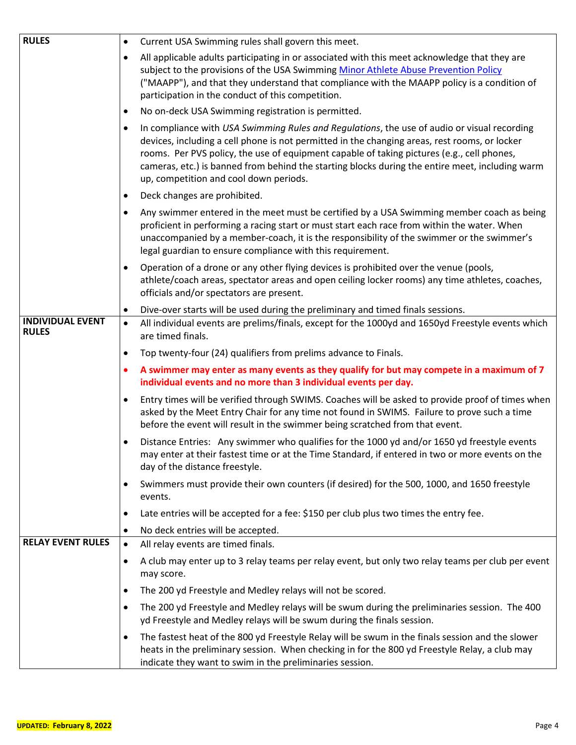| <b>RULES</b>                            | $\bullet$ | Current USA Swimming rules shall govern this meet.                                                                                                                                                                                                                                                                                                                                                                                      |
|-----------------------------------------|-----------|-----------------------------------------------------------------------------------------------------------------------------------------------------------------------------------------------------------------------------------------------------------------------------------------------------------------------------------------------------------------------------------------------------------------------------------------|
|                                         | $\bullet$ | All applicable adults participating in or associated with this meet acknowledge that they are<br>subject to the provisions of the USA Swimming Minor Athlete Abuse Prevention Policy<br>("MAAPP"), and that they understand that compliance with the MAAPP policy is a condition of<br>participation in the conduct of this competition.                                                                                                |
|                                         |           | No on-deck USA Swimming registration is permitted.                                                                                                                                                                                                                                                                                                                                                                                      |
|                                         | $\bullet$ | In compliance with USA Swimming Rules and Regulations, the use of audio or visual recording<br>devices, including a cell phone is not permitted in the changing areas, rest rooms, or locker<br>rooms. Per PVS policy, the use of equipment capable of taking pictures (e.g., cell phones,<br>cameras, etc.) is banned from behind the starting blocks during the entire meet, including warm<br>up, competition and cool down periods. |
|                                         | $\bullet$ | Deck changes are prohibited.                                                                                                                                                                                                                                                                                                                                                                                                            |
|                                         | ٠         | Any swimmer entered in the meet must be certified by a USA Swimming member coach as being<br>proficient in performing a racing start or must start each race from within the water. When<br>unaccompanied by a member-coach, it is the responsibility of the swimmer or the swimmer's<br>legal guardian to ensure compliance with this requirement.                                                                                     |
|                                         | $\bullet$ | Operation of a drone or any other flying devices is prohibited over the venue (pools,<br>athlete/coach areas, spectator areas and open ceiling locker rooms) any time athletes, coaches,<br>officials and/or spectators are present.                                                                                                                                                                                                    |
|                                         | $\bullet$ | Dive-over starts will be used during the preliminary and timed finals sessions.                                                                                                                                                                                                                                                                                                                                                         |
| <b>INDIVIDUAL EVENT</b><br><b>RULES</b> | $\bullet$ | All individual events are prelims/finals, except for the 1000yd and 1650yd Freestyle events which<br>are timed finals.                                                                                                                                                                                                                                                                                                                  |
|                                         | $\bullet$ | Top twenty-four (24) qualifiers from prelims advance to Finals.                                                                                                                                                                                                                                                                                                                                                                         |
|                                         | ٠         | A swimmer may enter as many events as they qualify for but may compete in a maximum of 7<br>individual events and no more than 3 individual events per day.                                                                                                                                                                                                                                                                             |
|                                         | ٠         | Entry times will be verified through SWIMS. Coaches will be asked to provide proof of times when<br>asked by the Meet Entry Chair for any time not found in SWIMS. Failure to prove such a time<br>before the event will result in the swimmer being scratched from that event.                                                                                                                                                         |
|                                         | $\bullet$ | Distance Entries: Any swimmer who qualifies for the 1000 yd and/or 1650 yd freestyle events<br>may enter at their fastest time or at the Time Standard, if entered in two or more events on the<br>day of the distance freestyle.                                                                                                                                                                                                       |
|                                         | $\bullet$ | Swimmers must provide their own counters (if desired) for the 500, 1000, and 1650 freestyle<br>events.                                                                                                                                                                                                                                                                                                                                  |
|                                         | ٠         | Late entries will be accepted for a fee: \$150 per club plus two times the entry fee.                                                                                                                                                                                                                                                                                                                                                   |
|                                         | $\bullet$ | No deck entries will be accepted.                                                                                                                                                                                                                                                                                                                                                                                                       |
| <b>RELAY EVENT RULES</b>                | $\bullet$ | All relay events are timed finals.                                                                                                                                                                                                                                                                                                                                                                                                      |
|                                         | $\bullet$ | A club may enter up to 3 relay teams per relay event, but only two relay teams per club per event<br>may score.                                                                                                                                                                                                                                                                                                                         |
|                                         | $\bullet$ | The 200 yd Freestyle and Medley relays will not be scored.                                                                                                                                                                                                                                                                                                                                                                              |
|                                         | $\bullet$ | The 200 yd Freestyle and Medley relays will be swum during the preliminaries session. The 400<br>yd Freestyle and Medley relays will be swum during the finals session.                                                                                                                                                                                                                                                                 |
|                                         | $\bullet$ | The fastest heat of the 800 yd Freestyle Relay will be swum in the finals session and the slower<br>heats in the preliminary session. When checking in for the 800 yd Freestyle Relay, a club may<br>indicate they want to swim in the preliminaries session.                                                                                                                                                                           |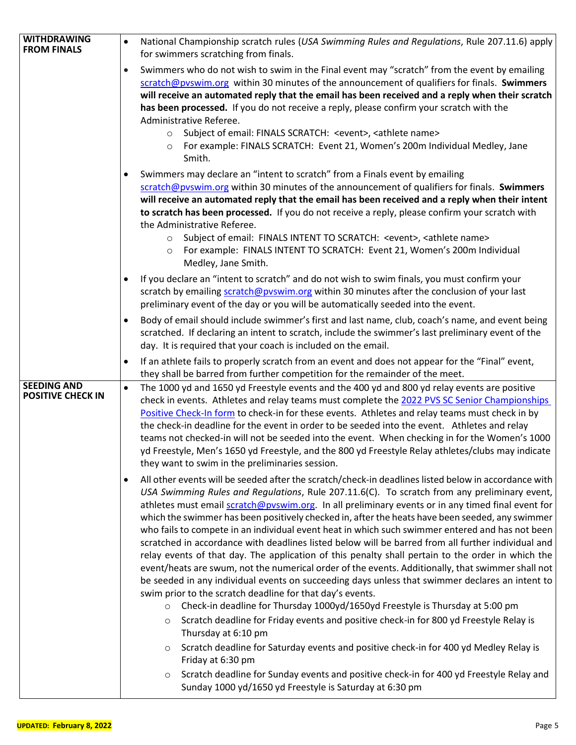| <b>WITHDRAWING</b>                             | National Championship scratch rules (USA Swimming Rules and Regulations, Rule 207.11.6) apply<br>$\bullet$                                                                                                                                                                                                                                                                                                                                                                                                                                                                                                                                                                                                                                                                                                                                                                                                                                                                                                                                                                                                                                                                                                                                                                                                                                                                                                                                                                                                        |
|------------------------------------------------|-------------------------------------------------------------------------------------------------------------------------------------------------------------------------------------------------------------------------------------------------------------------------------------------------------------------------------------------------------------------------------------------------------------------------------------------------------------------------------------------------------------------------------------------------------------------------------------------------------------------------------------------------------------------------------------------------------------------------------------------------------------------------------------------------------------------------------------------------------------------------------------------------------------------------------------------------------------------------------------------------------------------------------------------------------------------------------------------------------------------------------------------------------------------------------------------------------------------------------------------------------------------------------------------------------------------------------------------------------------------------------------------------------------------------------------------------------------------------------------------------------------------|
| <b>FROM FINALS</b>                             | for swimmers scratching from finals.                                                                                                                                                                                                                                                                                                                                                                                                                                                                                                                                                                                                                                                                                                                                                                                                                                                                                                                                                                                                                                                                                                                                                                                                                                                                                                                                                                                                                                                                              |
|                                                | Swimmers who do not wish to swim in the Final event may "scratch" from the event by emailing<br>scratch@pvswim.org within 30 minutes of the announcement of qualifiers for finals. Swimmers<br>will receive an automated reply that the email has been received and a reply when their scratch<br>has been processed. If you do not receive a reply, please confirm your scratch with the<br>Administrative Referee.<br>Subject of email: FINALS SCRATCH: <event>, <athlete name=""><br/><math display="inline">\circ</math><br/>For example: FINALS SCRATCH: Event 21, Women's 200m Individual Medley, Jane<br/><math>\circ</math><br/>Smith.<br/>Swimmers may declare an "intent to scratch" from a Finals event by emailing<br/>scratch@pvswim.org within 30 minutes of the announcement of qualifiers for finals. Swimmers<br/>will receive an automated reply that the email has been received and a reply when their intent</athlete></event>                                                                                                                                                                                                                                                                                                                                                                                                                                                                                                                                                               |
|                                                | to scratch has been processed. If you do not receive a reply, please confirm your scratch with<br>the Administrative Referee.<br>Subject of email: FINALS INTENT TO SCRATCH: <event>, <athlete name=""><br/><math display="inline">\circ</math><br/>For example: FINALS INTENT TO SCRATCH: Event 21, Women's 200m Individual<br/><math>\circ</math><br/>Medley, Jane Smith.</athlete></event>                                                                                                                                                                                                                                                                                                                                                                                                                                                                                                                                                                                                                                                                                                                                                                                                                                                                                                                                                                                                                                                                                                                     |
|                                                | If you declare an "intent to scratch" and do not wish to swim finals, you must confirm your<br>scratch by emailing scratch@pvswim.org within 30 minutes after the conclusion of your last<br>preliminary event of the day or you will be automatically seeded into the event.                                                                                                                                                                                                                                                                                                                                                                                                                                                                                                                                                                                                                                                                                                                                                                                                                                                                                                                                                                                                                                                                                                                                                                                                                                     |
|                                                | Body of email should include swimmer's first and last name, club, coach's name, and event being<br>scratched. If declaring an intent to scratch, include the swimmer's last preliminary event of the<br>day. It is required that your coach is included on the email.                                                                                                                                                                                                                                                                                                                                                                                                                                                                                                                                                                                                                                                                                                                                                                                                                                                                                                                                                                                                                                                                                                                                                                                                                                             |
|                                                | If an athlete fails to properly scratch from an event and does not appear for the "Final" event,<br>٠<br>they shall be barred from further competition for the remainder of the meet.                                                                                                                                                                                                                                                                                                                                                                                                                                                                                                                                                                                                                                                                                                                                                                                                                                                                                                                                                                                                                                                                                                                                                                                                                                                                                                                             |
| <b>SEEDING AND</b><br><b>POSITIVE CHECK IN</b> | The 1000 yd and 1650 yd Freestyle events and the 400 yd and 800 yd relay events are positive<br>$\bullet$<br>check in events. Athletes and relay teams must complete the 2022 PVS SC Senior Championships<br>Positive Check-In form to check-in for these events. Athletes and relay teams must check in by<br>the check-in deadline for the event in order to be seeded into the event. Athletes and relay<br>teams not checked-in will not be seeded into the event. When checking in for the Women's 1000<br>yd Freestyle, Men's 1650 yd Freestyle, and the 800 yd Freestyle Relay athletes/clubs may indicate<br>they want to swim in the preliminaries session.                                                                                                                                                                                                                                                                                                                                                                                                                                                                                                                                                                                                                                                                                                                                                                                                                                              |
|                                                | All other events will be seeded after the scratch/check-in deadlines listed below in accordance with<br>USA Swimming Rules and Regulations, Rule 207.11.6(C). To scratch from any preliminary event,<br>athletes must email scratch@pyswim.org. In all preliminary events or in any timed final event for<br>which the swimmer has been positively checked in, after the heats have been seeded, any swimmer<br>who fails to compete in an individual event heat in which such swimmer entered and has not been<br>scratched in accordance with deadlines listed below will be barred from all further individual and<br>relay events of that day. The application of this penalty shall pertain to the order in which the<br>event/heats are swum, not the numerical order of the events. Additionally, that swimmer shall not<br>be seeded in any individual events on succeeding days unless that swimmer declares an intent to<br>swim prior to the scratch deadline for that day's events.<br>Check-in deadline for Thursday 1000yd/1650yd Freestyle is Thursday at 5:00 pm<br>$\circ$<br>Scratch deadline for Friday events and positive check-in for 800 yd Freestyle Relay is<br>$\circ$<br>Thursday at 6:10 pm<br>Scratch deadline for Saturday events and positive check-in for 400 yd Medley Relay is<br>$\circ$<br>Friday at 6:30 pm<br>Scratch deadline for Sunday events and positive check-in for 400 yd Freestyle Relay and<br>$\circ$<br>Sunday 1000 yd/1650 yd Freestyle is Saturday at 6:30 pm |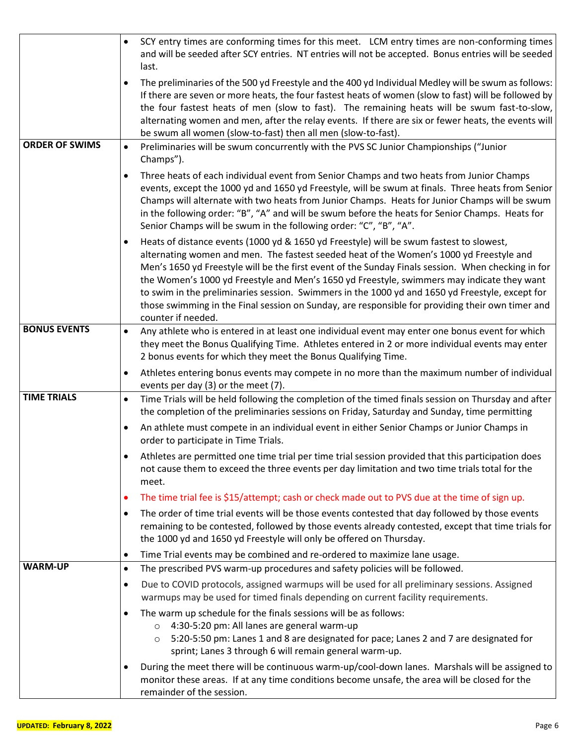|                       | SCY entry times are conforming times for this meet. LCM entry times are non-conforming times<br>and will be seeded after SCY entries. NT entries will not be accepted. Bonus entries will be seeded<br>last.                                                                                                                                                                                                                                                                                                                                                                                                        |
|-----------------------|---------------------------------------------------------------------------------------------------------------------------------------------------------------------------------------------------------------------------------------------------------------------------------------------------------------------------------------------------------------------------------------------------------------------------------------------------------------------------------------------------------------------------------------------------------------------------------------------------------------------|
|                       | The preliminaries of the 500 yd Freestyle and the 400 yd Individual Medley will be swum as follows:<br>If there are seven or more heats, the four fastest heats of women (slow to fast) will be followed by<br>the four fastest heats of men (slow to fast). The remaining heats will be swum fast-to-slow,<br>alternating women and men, after the relay events. If there are six or fewer heats, the events will<br>be swum all women (slow-to-fast) then all men (slow-to-fast).                                                                                                                                 |
| <b>ORDER OF SWIMS</b> | Preliminaries will be swum concurrently with the PVS SC Junior Championships ("Junior<br>$\bullet$<br>Champs").                                                                                                                                                                                                                                                                                                                                                                                                                                                                                                     |
|                       | Three heats of each individual event from Senior Champs and two heats from Junior Champs<br>$\bullet$<br>events, except the 1000 yd and 1650 yd Freestyle, will be swum at finals. Three heats from Senior<br>Champs will alternate with two heats from Junior Champs. Heats for Junior Champs will be swum<br>in the following order: "B", "A" and will be swum before the heats for Senior Champs. Heats for<br>Senior Champs will be swum in the following order: "C", "B", "A".                                                                                                                                 |
|                       | Heats of distance events (1000 yd & 1650 yd Freestyle) will be swum fastest to slowest,<br>alternating women and men. The fastest seeded heat of the Women's 1000 yd Freestyle and<br>Men's 1650 yd Freestyle will be the first event of the Sunday Finals session. When checking in for<br>the Women's 1000 yd Freestyle and Men's 1650 yd Freestyle, swimmers may indicate they want<br>to swim in the preliminaries session. Swimmers in the 1000 yd and 1650 yd Freestyle, except for<br>those swimming in the Final session on Sunday, are responsible for providing their own timer and<br>counter if needed. |
| <b>BONUS EVENTS</b>   | Any athlete who is entered in at least one individual event may enter one bonus event for which<br>$\bullet$<br>they meet the Bonus Qualifying Time. Athletes entered in 2 or more individual events may enter<br>2 bonus events for which they meet the Bonus Qualifying Time.                                                                                                                                                                                                                                                                                                                                     |
|                       | Athletes entering bonus events may compete in no more than the maximum number of individual<br>$\bullet$<br>events per day (3) or the meet (7).                                                                                                                                                                                                                                                                                                                                                                                                                                                                     |
| <b>TIME TRIALS</b>    | Time Trials will be held following the completion of the timed finals session on Thursday and after<br>$\bullet$<br>the completion of the preliminaries sessions on Friday, Saturday and Sunday, time permitting                                                                                                                                                                                                                                                                                                                                                                                                    |
|                       | An athlete must compete in an individual event in either Senior Champs or Junior Champs in<br>$\bullet$<br>order to participate in Time Trials.                                                                                                                                                                                                                                                                                                                                                                                                                                                                     |
|                       | Athletes are permitted one time trial per time trial session provided that this participation does<br>not cause them to exceed the three events per day limitation and two time trials total for the<br>meet.                                                                                                                                                                                                                                                                                                                                                                                                       |
|                       | The time trial fee is \$15/attempt; cash or check made out to PVS due at the time of sign up.<br>٠                                                                                                                                                                                                                                                                                                                                                                                                                                                                                                                  |
|                       | The order of time trial events will be those events contested that day followed by those events<br>$\bullet$<br>remaining to be contested, followed by those events already contested, except that time trials for<br>the 1000 yd and 1650 yd Freestyle will only be offered on Thursday.                                                                                                                                                                                                                                                                                                                           |
|                       | Time Trial events may be combined and re-ordered to maximize lane usage.<br>$\bullet$                                                                                                                                                                                                                                                                                                                                                                                                                                                                                                                               |
| <b>WARM-UP</b>        | The prescribed PVS warm-up procedures and safety policies will be followed.<br>$\bullet$                                                                                                                                                                                                                                                                                                                                                                                                                                                                                                                            |
|                       | Due to COVID protocols, assigned warmups will be used for all preliminary sessions. Assigned<br>$\bullet$<br>warmups may be used for timed finals depending on current facility requirements.                                                                                                                                                                                                                                                                                                                                                                                                                       |
|                       | The warm up schedule for the finals sessions will be as follows:<br>$\bullet$                                                                                                                                                                                                                                                                                                                                                                                                                                                                                                                                       |
|                       | 4:30-5:20 pm: All lanes are general warm-up<br>$\circ$<br>5:20-5:50 pm: Lanes 1 and 8 are designated for pace; Lanes 2 and 7 are designated for<br>$\circ$<br>sprint; Lanes 3 through 6 will remain general warm-up.                                                                                                                                                                                                                                                                                                                                                                                                |
|                       | During the meet there will be continuous warm-up/cool-down lanes. Marshals will be assigned to<br>$\bullet$<br>monitor these areas. If at any time conditions become unsafe, the area will be closed for the<br>remainder of the session.                                                                                                                                                                                                                                                                                                                                                                           |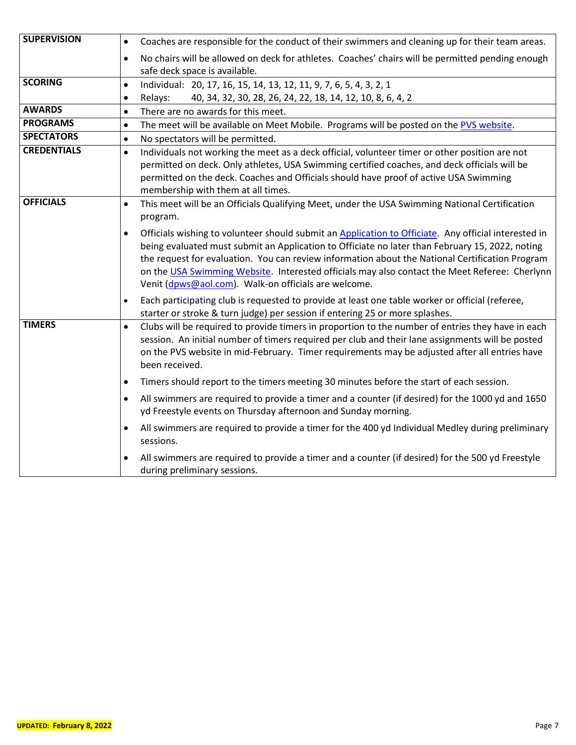| <b>SUPERVISION</b> | Coaches are responsible for the conduct of their swimmers and cleaning up for their team areas.<br>$\bullet$                                                                                                                                                                                                                                                                                                                                                        |
|--------------------|---------------------------------------------------------------------------------------------------------------------------------------------------------------------------------------------------------------------------------------------------------------------------------------------------------------------------------------------------------------------------------------------------------------------------------------------------------------------|
|                    | No chairs will be allowed on deck for athletes. Coaches' chairs will be permitted pending enough<br>$\bullet$<br>safe deck space is available.                                                                                                                                                                                                                                                                                                                      |
| <b>SCORING</b>     | Individual: 20, 17, 16, 15, 14, 13, 12, 11, 9, 7, 6, 5, 4, 3, 2, 1<br>$\bullet$                                                                                                                                                                                                                                                                                                                                                                                     |
|                    | Relays:<br>40, 34, 32, 30, 28, 26, 24, 22, 18, 14, 12, 10, 8, 6, 4, 2<br>$\bullet$                                                                                                                                                                                                                                                                                                                                                                                  |
| <b>AWARDS</b>      | There are no awards for this meet.<br>$\bullet$                                                                                                                                                                                                                                                                                                                                                                                                                     |
| <b>PROGRAMS</b>    | The meet will be available on Meet Mobile. Programs will be posted on the PVS website.<br>$\bullet$                                                                                                                                                                                                                                                                                                                                                                 |
| <b>SPECTATORS</b>  | No spectators will be permitted.<br>$\bullet$                                                                                                                                                                                                                                                                                                                                                                                                                       |
| <b>CREDENTIALS</b> | Individuals not working the meet as a deck official, volunteer timer or other position are not<br>$\bullet$<br>permitted on deck. Only athletes, USA Swimming certified coaches, and deck officials will be<br>permitted on the deck. Coaches and Officials should have proof of active USA Swimming<br>membership with them at all times.                                                                                                                          |
| <b>OFFICIALS</b>   | This meet will be an Officials Qualifying Meet, under the USA Swimming National Certification<br>$\bullet$<br>program.                                                                                                                                                                                                                                                                                                                                              |
|                    | Officials wishing to volunteer should submit an Application to Officiate. Any official interested in<br>being evaluated must submit an Application to Officiate no later than February 15, 2022, noting<br>the request for evaluation. You can review information about the National Certification Program<br>on the USA Swimming Website. Interested officials may also contact the Meet Referee: Cherlynn<br>Venit (dpws@aol.com). Walk-on officials are welcome. |
|                    | Each participating club is requested to provide at least one table worker or official (referee,<br>$\bullet$<br>starter or stroke & turn judge) per session if entering 25 or more splashes.                                                                                                                                                                                                                                                                        |
| <b>TIMERS</b>      | Clubs will be required to provide timers in proportion to the number of entries they have in each<br>$\bullet$<br>session. An initial number of timers required per club and their lane assignments will be posted<br>on the PVS website in mid-February. Timer requirements may be adjusted after all entries have<br>been received.                                                                                                                               |
|                    | Timers should report to the timers meeting 30 minutes before the start of each session.<br>$\bullet$                                                                                                                                                                                                                                                                                                                                                                |
|                    | All swimmers are required to provide a timer and a counter (if desired) for the 1000 yd and 1650<br>$\bullet$<br>yd Freestyle events on Thursday afternoon and Sunday morning.                                                                                                                                                                                                                                                                                      |
|                    | All swimmers are required to provide a timer for the 400 yd Individual Medley during preliminary<br>sessions.                                                                                                                                                                                                                                                                                                                                                       |
|                    | All swimmers are required to provide a timer and a counter (if desired) for the 500 yd Freestyle<br>during preliminary sessions.                                                                                                                                                                                                                                                                                                                                    |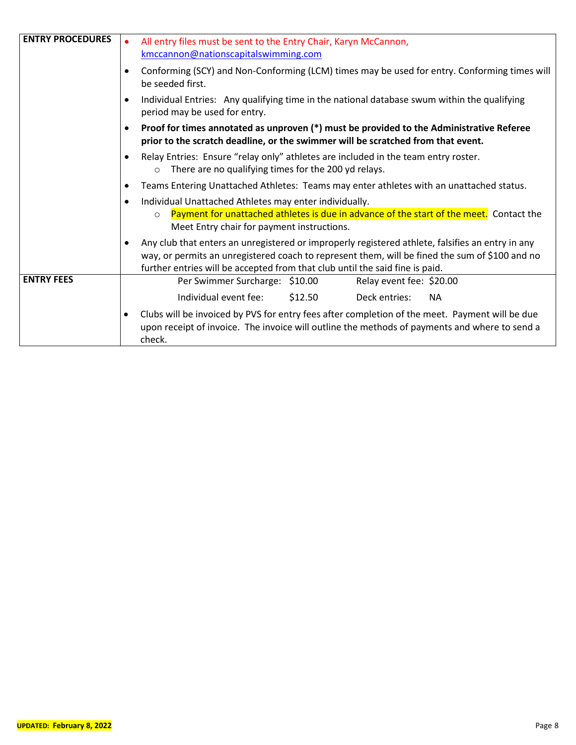| <b>ENTRY PROCEDURES</b> | All entry files must be sent to the Entry Chair, Karyn McCannon,<br>kmccannon@nationscapitalswimming.com                                                                                                                                                                           |  |  |  |  |  |  |
|-------------------------|------------------------------------------------------------------------------------------------------------------------------------------------------------------------------------------------------------------------------------------------------------------------------------|--|--|--|--|--|--|
|                         | Conforming (SCY) and Non-Conforming (LCM) times may be used for entry. Conforming times will<br>be seeded first.                                                                                                                                                                   |  |  |  |  |  |  |
|                         | Individual Entries: Any qualifying time in the national database swum within the qualifying<br>period may be used for entry.                                                                                                                                                       |  |  |  |  |  |  |
|                         | Proof for times annotated as unproven (*) must be provided to the Administrative Referee<br>prior to the scratch deadline, or the swimmer will be scratched from that event.                                                                                                       |  |  |  |  |  |  |
|                         | Relay Entries: Ensure "relay only" athletes are included in the team entry roster.<br>There are no qualifying times for the 200 yd relays.<br>$\circ$                                                                                                                              |  |  |  |  |  |  |
|                         | Teams Entering Unattached Athletes: Teams may enter athletes with an unattached status.                                                                                                                                                                                            |  |  |  |  |  |  |
|                         | Individual Unattached Athletes may enter individually.<br>Payment for unattached athletes is due in advance of the start of the meet. Contact the<br>$\circ$<br>Meet Entry chair for payment instructions.                                                                         |  |  |  |  |  |  |
|                         | Any club that enters an unregistered or improperly registered athlete, falsifies an entry in any<br>way, or permits an unregistered coach to represent them, will be fined the sum of \$100 and no<br>further entries will be accepted from that club until the said fine is paid. |  |  |  |  |  |  |
| <b>ENTRY FEES</b>       | Per Swimmer Surcharge: \$10.00<br>Relay event fee: \$20.00                                                                                                                                                                                                                         |  |  |  |  |  |  |
|                         | Individual event fee:<br>\$12.50<br>Deck entries:<br><b>NA</b>                                                                                                                                                                                                                     |  |  |  |  |  |  |
|                         | Clubs will be invoiced by PVS for entry fees after completion of the meet. Payment will be due<br>$\bullet$<br>upon receipt of invoice. The invoice will outline the methods of payments and where to send a<br>check.                                                             |  |  |  |  |  |  |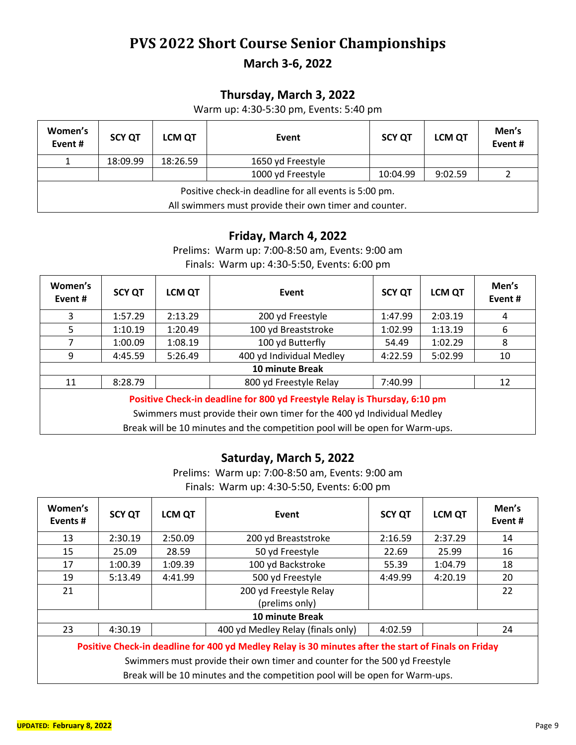## **PVS 2022 Short Course Senior Championships**

**March 3-6, 2022**

### **Thursday, March 3, 2022**

Warm up: 4:30-5:30 pm, Events: 5:40 pm

| Women's<br>Event#                                     | <b>SCY QT</b>                                          | <b>LCM QT</b> | Event             | <b>SCY QT</b> | <b>LCM QT</b> | Men's<br>Event# |  |
|-------------------------------------------------------|--------------------------------------------------------|---------------|-------------------|---------------|---------------|-----------------|--|
|                                                       | 18:09.99                                               | 18:26.59      | 1650 yd Freestyle |               |               |                 |  |
|                                                       |                                                        |               | 1000 yd Freestyle | 10:04.99      | 9:02.59       |                 |  |
| Positive check-in deadline for all events is 5:00 pm. |                                                        |               |                   |               |               |                 |  |
|                                                       | All swimmers must provide their own timer and counter. |               |                   |               |               |                 |  |

#### **Friday, March 4, 2022**

Prelims: Warm up: 7:00-8:50 am, Events: 9:00 am Finals: Warm up: 4:30-5:50, Events: 6:00 pm

| Women's<br>Event #                                                                                                                                   | <b>SCY QT</b> | <b>LCM QT</b> | Event                                                                        | <b>SCY QT</b> | <b>LCM QT</b> | Men's<br>Event# |
|------------------------------------------------------------------------------------------------------------------------------------------------------|---------------|---------------|------------------------------------------------------------------------------|---------------|---------------|-----------------|
| 3                                                                                                                                                    | 1:57.29       | 2:13.29       | 200 yd Freestyle                                                             | 1:47.99       | 2:03.19       | 4               |
| 5                                                                                                                                                    | 1:10.19       | 1:20.49       | 100 yd Breaststroke                                                          | 1:02.99       | 1:13.19       | 6               |
| 7                                                                                                                                                    | 1:00.09       | 1:08.19       | 100 yd Butterfly                                                             | 54.49         | 1:02.29       | 8               |
| 9                                                                                                                                                    | 4:45.59       | 5:26.49       | 400 yd Individual Medley                                                     | 4:22.59       | 5:02.99       | 10              |
|                                                                                                                                                      |               |               | 10 minute Break                                                              |               |               |                 |
| 11                                                                                                                                                   | 8:28.79       |               | 800 yd Freestyle Relay                                                       | 7:40.99       |               | 12              |
| Positive Check-in deadline for 800 yd Freestyle Relay is Thursday, 6:10 pm<br>Swimmers must provide their own timer for the 400 yd Individual Medley |               |               |                                                                              |               |               |                 |
|                                                                                                                                                      |               |               | Break will be 10 minutes and the competition pool will be open for Warm-ups. |               |               |                 |

#### **Saturday, March 5, 2022**

Prelims: Warm up: 7:00-8:50 am, Events: 9:00 am Finals: Warm up: 4:30-5:50, Events: 6:00 pm

| Women's<br>Events#                                                                                   | <b>SCY QT</b> | <b>LCM QT</b> | Event                             | <b>SCY QT</b> | <b>LCM QT</b> | Men's<br>Event# |  |
|------------------------------------------------------------------------------------------------------|---------------|---------------|-----------------------------------|---------------|---------------|-----------------|--|
| 13                                                                                                   | 2:30.19       | 2:50.09       | 200 yd Breaststroke               | 2:16.59       | 2:37.29       | 14              |  |
| 15                                                                                                   | 25.09         | 28.59         | 50 yd Freestyle                   | 22.69         | 25.99         | 16              |  |
| 17                                                                                                   | 1:00.39       | 1:09.39       | 100 yd Backstroke                 | 55.39         | 1:04.79       | 18              |  |
| 19                                                                                                   | 5:13.49       | 4:41.99       | 500 yd Freestyle                  | 4:49.99       | 4:20.19       | 20              |  |
| 21                                                                                                   |               |               | 200 yd Freestyle Relay            |               |               | 22              |  |
|                                                                                                      |               |               | (prelims only)                    |               |               |                 |  |
| 10 minute Break                                                                                      |               |               |                                   |               |               |                 |  |
| 23                                                                                                   | 4:30.19       |               | 400 yd Medley Relay (finals only) | 4:02.59       |               | 24              |  |
| Positive Check-in deadline for 400 yd Medley Relay is 30 minutes after the start of Finals on Friday |               |               |                                   |               |               |                 |  |

Swimmers must provide their own timer and counter for the 500 yd Freestyle

Break will be 10 minutes and the competition pool will be open for Warm-ups.